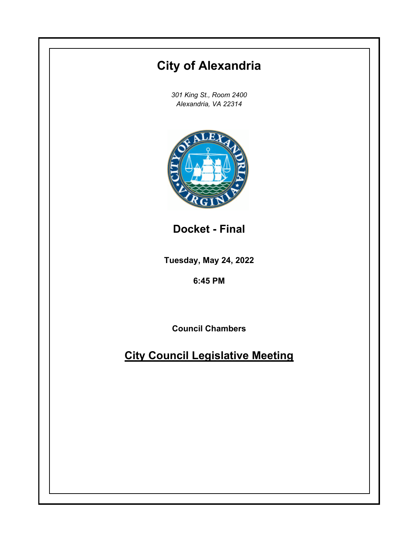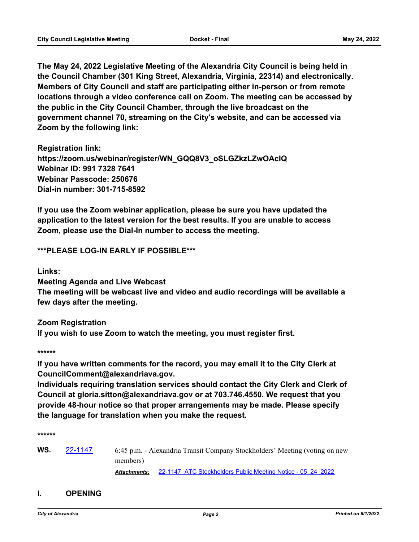**The May 24, 2022 Legislative Meeting of the Alexandria City Council is being held in the Council Chamber (301 King Street, Alexandria, Virginia, 22314) and electronically. Members of City Council and staff are participating either in-person or from remote locations through a video conference call on Zoom. The meeting can be accessed by the public in the City Council Chamber, through the live broadcast on the government channel 70, streaming on the City's website, and can be accessed via Zoom by the following link:**

**Registration link: https://zoom.us/webinar/register/WN\_GQQ8V3\_oSLGZkzLZwOAcIQ Webinar ID: 991 7328 7641 Webinar Passcode: 250676 Dial-in number: 301-715-8592**

**If you use the Zoom webinar application, please be sure you have updated the application to the latest version for the best results. If you are unable to access Zoom, please use the Dial-In number to access the meeting.**

**\*\*\*PLEASE LOG-IN EARLY IF POSSIBLE\*\*\***

**Links:**

**Meeting Agenda and Live Webcast The meeting will be webcast live and video and audio recordings will be available a few days after the meeting.**

**Zoom Registration If you wish to use Zoom to watch the meeting, you must register first.**

**\*\*\*\*\*\***

**If you have written comments for the record, you may email it to the City Clerk at CouncilComment@alexandriava.gov.**

**Individuals requiring translation services should contact the City Clerk and Clerk of Council at gloria.sitton@alexandriava.gov or at 703.746.4550. We request that you provide 48-hour notice so that proper arrangements may be made. Please specify the language for translation when you make the request.**

**\*\*\*\*\*\***

**WS.** [22-1147](http://alexandria.legistar.com/gateway.aspx?m=l&id=/matter.aspx?key=14745) 6:45 p.m. - Alexandria Transit Company Stockholders' Meeting (voting on new members)

*Attachments:* [22-1147\\_ATC Stockholders Public Meeting Notice - 05\\_24\\_2022](http://alexandria.legistar.com/gateway.aspx?M=F&ID=3e49c457-8b14-40fa-8085-f699ef2964c9.pdf)

#### **I. OPENING**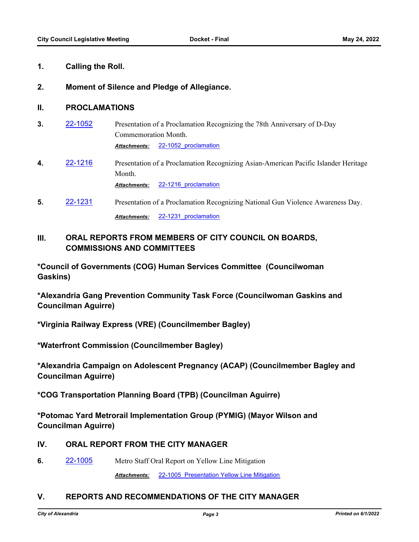#### **1. Calling the Roll.**

#### **2. Moment of Silence and Pledge of Allegiance.**

#### **II. PROCLAMATIONS**

- **3.** [22-1052](http://alexandria.legistar.com/gateway.aspx?m=l&id=/matter.aspx?key=14651) Presentation of a Proclamation Recognizing the 78th Anniversary of D-Day Commemoration Month. *Attachments:* [22-1052\\_proclamation](http://alexandria.legistar.com/gateway.aspx?M=F&ID=a7918fc6-aa45-4ef5-b936-f78ff1a8b3c1.docx)
- **4.** [22-1216](http://alexandria.legistar.com/gateway.aspx?m=l&id=/matter.aspx?key=14814) Presentation of a Proclamation Recognizing Asian-American Pacific Islander Heritage Month.

*Attachments:* [22-1216\\_proclamation](http://alexandria.legistar.com/gateway.aspx?M=F&ID=517110f5-05c8-428d-ad8a-a1c9f4db127c.docx)

**5. [22-1231](http://alexandria.legistar.com/gateway.aspx?m=l&id=/matter.aspx?key=14829)** Presentation of a Proclamation Recognizing National Gun Violence Awareness Day. *Attachments:* [22-1231\\_proclamation](http://alexandria.legistar.com/gateway.aspx?M=F&ID=ceb92573-568f-4520-bb21-d8c4b7ef3f1a.docx)

# **III. ORAL REPORTS FROM MEMBERS OF CITY COUNCIL ON BOARDS, COMMISSIONS AND COMMITTEES**

**\*Council of Governments (COG) Human Services Committee (Councilwoman Gaskins)**

**\*Alexandria Gang Prevention Community Task Force (Councilwoman Gaskins and Councilman Aguirre)**

**\*Virginia Railway Express (VRE) (Councilmember Bagley)**

**\*Waterfront Commission (Councilmember Bagley)**

**\*Alexandria Campaign on Adolescent Pregnancy (ACAP) (Councilmember Bagley and Councilman Aguirre)**

**\*COG Transportation Planning Board (TPB) (Councilman Aguirre)**

**\*Potomac Yard Metrorail Implementation Group (PYMIG) (Mayor Wilson and Councilman Aguirre)**

## **IV. ORAL REPORT FROM THE CITY MANAGER**

**6.** [22-1005](http://alexandria.legistar.com/gateway.aspx?m=l&id=/matter.aspx?key=14604) Metro Staff Oral Report on Yellow Line Mitigation

*Attachments:* [22-1005\\_Presentation Yellow Line Mitigation](http://alexandria.legistar.com/gateway.aspx?M=F&ID=3baaae52-5fae-4eda-83ca-56196ce6b833.pptx)

## **V. REPORTS AND RECOMMENDATIONS OF THE CITY MANAGER**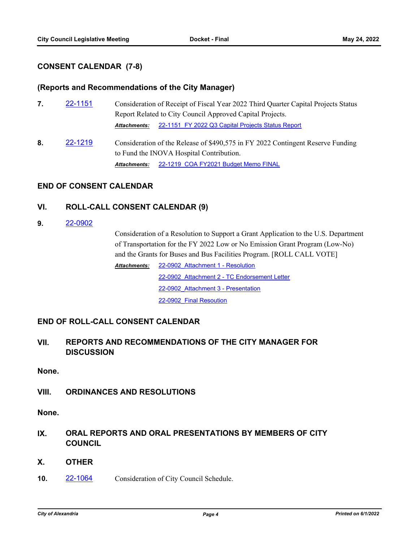## **CONSENT CALENDAR (7-8)**

#### **(Reports and Recommendations of the City Manager)**

- **7.** [22-1151](http://alexandria.legistar.com/gateway.aspx?m=l&id=/matter.aspx?key=14749) Consideration of Receipt of Fiscal Year 2022 Third Quarter Capital Projects Status Report Related to City Council Approved Capital Projects. *Attachments:* [22-1151\\_FY 2022 Q3 Capital Projects Status Report](http://alexandria.legistar.com/gateway.aspx?M=F&ID=41a68af5-536f-4c41-b4c8-db96ba3dc302.pdf)
- **8.** [22-1219](http://alexandria.legistar.com/gateway.aspx?m=l&id=/matter.aspx?key=14817) Consideration of the Release of \$490,575 in FY 2022 Contingent Reserve Funding to Fund the INOVA Hospital Contribution. *Attachments:* [22-1219\\_COA FY2021 Budget Memo FINAL](http://alexandria.legistar.com/gateway.aspx?M=F&ID=be93b0a3-df67-4021-9a4f-6b2d1e7e8614.pdf)

## **END OF CONSENT CALENDAR**

## **VI. ROLL-CALL CONSENT CALENDAR (9)**

**9.** [22-0902](http://alexandria.legistar.com/gateway.aspx?m=l&id=/matter.aspx?key=14501)

Consideration of a Resolution to Support a Grant Application to the U.S. Department of Transportation for the FY 2022 Low or No Emission Grant Program (Low-No) and the Grants for Buses and Bus Facilities Program. [ROLL CALL VOTE]

[22-0902\\_Attachment 1 - Resolution](http://alexandria.legistar.com/gateway.aspx?M=F&ID=760e1395-4f0e-4ae1-8edb-85b30662a801.docx) [22-0902\\_Attachment 2 - TC Endorsement Letter](http://alexandria.legistar.com/gateway.aspx?M=F&ID=186ea614-7c33-466f-9ffa-61770b0f07c7.pdf) [22-0902\\_Attachment 3 - Presentation](http://alexandria.legistar.com/gateway.aspx?M=F&ID=e062b9e7-ed9c-4ac8-912d-493fcb5a43bb.pptx) [22-0902\\_Final Resoution](http://alexandria.legistar.com/gateway.aspx?M=F&ID=e1a991a8-d89f-47e6-a2e8-5f1b866f0a00.pdf) *Attachments:*

## **END OF ROLL-CALL CONSENT CALENDAR**

## **VII. REPORTS AND RECOMMENDATIONS OF THE CITY MANAGER FOR DISCUSSION**

**None.**

## **VIII. ORDINANCES AND RESOLUTIONS**

**None.**

- **IX. ORAL REPORTS AND ORAL PRESENTATIONS BY MEMBERS OF CITY COUNCIL**
- **X. OTHER**
- **10.** [22-1064](http://alexandria.legistar.com/gateway.aspx?m=l&id=/matter.aspx?key=14663) Consideration of City Council Schedule.